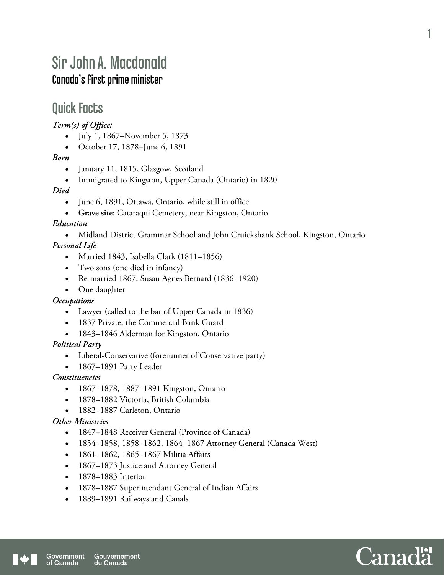# Sir John A. Macdonald Canada's first prime minister

### Quick Facts

*Term(s) of Office:* 

- July 1, 1867–November 5, 1873
- October 17, 1878–June 6, 1891

#### *Born*

- January 11, 1815, Glasgow, Scotland
- Immigrated to Kingston, Upper Canada (Ontario) in 1820

#### *Died*

- June 6, 1891, Ottawa, Ontario, while still in office
- **Grave site:** Cataraqui Cemetery, near Kingston, Ontario

#### *Education*

 Midland District Grammar School and John Cruickshank School, Kingston, Ontario *Personal Life* 

- Married 1843, Isabella Clark (1811–1856)
- Two sons (one died in infancy)
- Re-married 1867, Susan Agnes Bernard (1836–1920)
- One daughter

#### *Occupations*

- Lawyer (called to the bar of Upper Canada in 1836)
- 1837 Private, the Commercial Bank Guard
- 1843–1846 Alderman for Kingston, Ontario

#### *Political Party*

- Liberal-Conservative (forerunner of Conservative party)
- 1867–1891 Party Leader

#### *Constituencies*

- 1867–1878, 1887–1891 Kingston, Ontario
- 1878–1882 Victoria, British Columbia
- 1882–1887 Carleton, Ontario

#### *Other Ministries*

- 1847–1848 Receiver General (Province of Canada)
- 1854–1858, 1858–1862, 1864–1867 Attorney General (Canada West)
- 1861–1862, 1865–1867 Militia Affairs
- 1867–1873 Justice and Attorney General
- 1878–1883 Interior
- 1878–1887 Superintendant General of Indian Affairs
- 1889–1891 Railways and Canals

1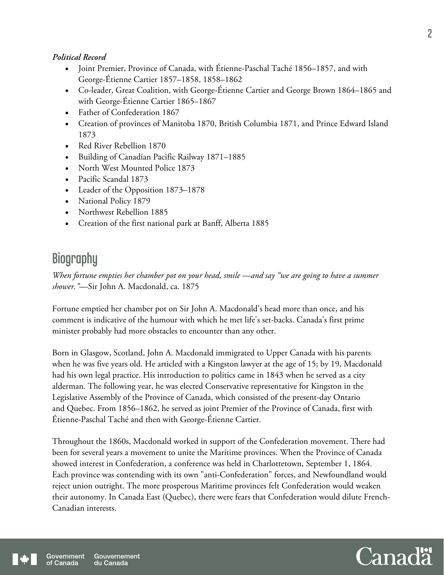#### *Political Record*

- Joint Premier, Province of Canada, with Étienne-Paschal Taché 1856–1857, and with George-Étienne Cartier 1857–1858, 1858–1862
- Co-leader, Great Coalition, with George-Étienne Cartier and George Brown 1864–1865 and with George-Étienne Cartier 1865–1867
- Father of Confederation 1867
- Creation of provinces of Manitoba 1870, British Columbia 1871, and Prince Edward Island 1873
- Red River Rebellion 1870
- Building of Canadian Pacific Railway 1871–1885
- North West Mounted Police 1873
- Pacific Scandal 1873
- Leader of the Opposition 1873–1878
- National Policy 1879
- Northwest Rebellion 1885
- Creation of the first national park at Banff, Alberta 1885

## **Biography**

*When fortune empties her chamber pot on your head, smile —and say "we are going to have a summer shower."*—Sir John A. Macdonald, ca. 1875

Fortune emptied her chamber pot on Sir John A. Macdonald's head more than once, and his comment is indicative of the humour with which he met life's set-backs. Canada's first prime minister probably had more obstacles to encounter than any other.

Born in Glasgow, Scotland, John A. Macdonald immigrated to Upper Canada with his parents when he was five years old. He articled with a Kingston lawyer at the age of 15; by 19, Macdonald had his own legal practice. His introduction to politics came in 1843 when he served as a city alderman. The following year, he was elected Conservative representative for Kingston in the Legislative Assembly of the Province of Canada, which consisted of the present-day Ontario and Quebec. From 1856–1862, he served as joint Premier of the Province of Canada, first with Étienne-Paschal Taché and then with George-Étienne Cartier.

Throughout the 1860s, Macdonald worked in support of the Confederation movement. There had been for several years a movement to unite the Maritime provinces. When the Province of Canada showed interest in Confederation, a conference was held in Charlottetown, September 1, 1864. Each province was contending with its own "anti-Confederation" forces, and Newfoundland would reject union outright. The more prosperous Maritime provinces felt Confederation would weaken their autonomy. In Canada East (Quebec), there were fears that Confederation would dilute French-Canadian interests.



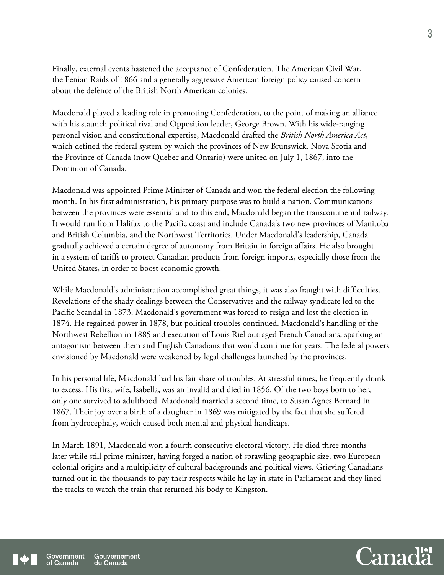Finally, external events hastened the acceptance of Confederation. The American Civil War, the Fenian Raids of 1866 and a generally aggressive American foreign policy caused concern about the defence of the British North American colonies.

Macdonald played a leading role in promoting Confederation, to the point of making an alliance with his staunch political rival and Opposition leader, George Brown. With his wide-ranging personal vision and constitutional expertise, Macdonald drafted the *British North America Act*, which defined the federal system by which the provinces of New Brunswick, Nova Scotia and the Province of Canada (now Quebec and Ontario) were united on July 1, 1867, into the Dominion of Canada.

Macdonald was appointed Prime Minister of Canada and won the federal election the following month. In his first administration, his primary purpose was to build a nation. Communications between the provinces were essential and to this end, Macdonald began the transcontinental railway. It would run from Halifax to the Pacific coast and include Canada's two new provinces of Manitoba and British Columbia, and the Northwest Territories. Under Macdonald's leadership, Canada gradually achieved a certain degree of autonomy from Britain in foreign affairs. He also brought in a system of tariffs to protect Canadian products from foreign imports, especially those from the United States, in order to boost economic growth.

While Macdonald's administration accomplished great things, it was also fraught with difficulties. Revelations of the shady dealings between the Conservatives and the railway syndicate led to the Pacific Scandal in 1873. Macdonald's government was forced to resign and lost the election in 1874. He regained power in 1878, but political troubles continued. Macdonald's handling of the Northwest Rebellion in 1885 and execution of Louis Riel outraged French Canadians, sparking an antagonism between them and English Canadians that would continue for years. The federal powers envisioned by Macdonald were weakened by legal challenges launched by the provinces.

In his personal life, Macdonald had his fair share of troubles. At stressful times, he frequently drank to excess. His first wife, Isabella, was an invalid and died in 1856. Of the two boys born to her, only one survived to adulthood. Macdonald married a second time, to Susan Agnes Bernard in 1867. Their joy over a birth of a daughter in 1869 was mitigated by the fact that she suffered from hydrocephaly, which caused both mental and physical handicaps.

In March 1891, Macdonald won a fourth consecutive electoral victory. He died three months later while still prime minister, having forged a nation of sprawling geographic size, two European colonial origins and a multiplicity of cultural backgrounds and political views. Grieving Canadians turned out in the thousands to pay their respects while he lay in state in Parliament and they lined the tracks to watch the train that returned his body to Kingston.

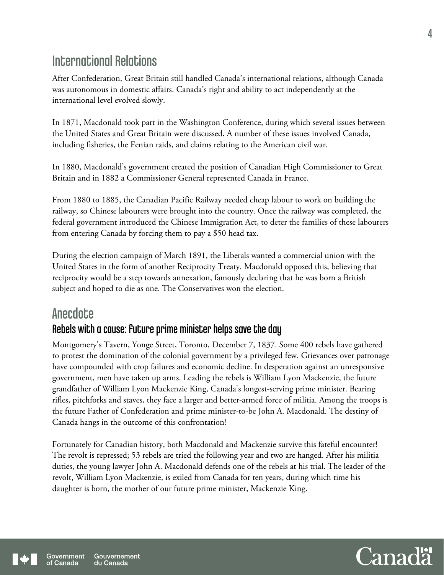### International Relations

After Confederation, Great Britain still handled Canada's international relations, although Canada was autonomous in domestic affairs. Canada's right and ability to act independently at the international level evolved slowly.

In 1871, Macdonald took part in the Washington Conference, during which several issues between the United States and Great Britain were discussed. A number of these issues involved Canada, including fisheries, the Fenian raids, and claims relating to the American civil war.

In 1880, Macdonald's government created the position of Canadian High Commissioner to Great Britain and in 1882 a Commissioner General represented Canada in France.

From 1880 to 1885, the Canadian Pacific Railway needed cheap labour to work on building the railway, so Chinese labourers were brought into the country. Once the railway was completed, the federal government introduced the Chinese Immigration Act, to deter the families of these labourers from entering Canada by forcing them to pay a \$50 head tax.

During the election campaign of March 1891, the Liberals wanted a commercial union with the United States in the form of another Reciprocity Treaty. Macdonald opposed this, believing that reciprocity would be a step towards annexation, famously declaring that he was born a British subject and hoped to die as one. The Conservatives won the election.

### **Anecdote**

### Rebels with a cause: future prime minister helps save the day

Montgomery's Tavern, Yonge Street, Toronto, December 7, 1837. Some 400 rebels have gathered to protest the domination of the colonial government by a privileged few. Grievances over patronage have compounded with crop failures and economic decline. In desperation against an unresponsive government, men have taken up arms. Leading the rebels is William Lyon Mackenzie, the future grandfather of William Lyon Mackenzie King, Canada's longest-serving prime minister. Bearing rifles, pitchforks and staves, they face a larger and better-armed force of militia. Among the troops is the future Father of Confederation and prime minister-to-be John A. Macdonald. The destiny of Canada hangs in the outcome of this confrontation!

Fortunately for Canadian history, both Macdonald and Mackenzie survive this fateful encounter! The revolt is repressed; 53 rebels are tried the following year and two are hanged. After his militia duties, the young lawyer John A. Macdonald defends one of the rebels at his trial. The leader of the revolt, William Lyon Mackenzie, is exiled from Canada for ten years, during which time his daughter is born, the mother of our future prime minister, Mackenzie King.

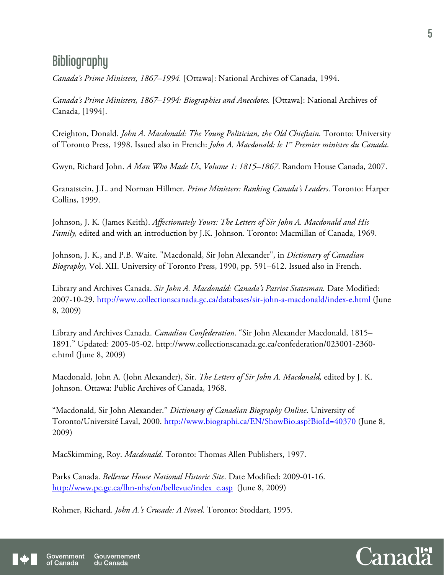### **Bibliography**

*Canada's Prime Ministers, 1867–1994.* [Ottawa]: National Archives of Canada, 1994.

*Canada's Prime Ministers, 1867–1994: Biographies and Anecdotes.* [Ottawa]: National Archives of Canada, [1994].

Creighton, Donald. *John A. Macdonald: The Young Politician, the Old Chieftain.* Toronto: University of Toronto Press, 1998. Issued also in French: *John A. Macdonald: le 1er Premier ministre du Canada*.

Gwyn, Richard John. *A Man Who Made Us*, *Volume 1: 1815–1867*. Random House Canada, 2007.

Granatstein, J.L. and Norman Hillmer. *Prime Ministers: Ranking Canada's Leaders*. Toronto: Harper Collins, 1999.

Johnson, J. K. (James Keith). *Affectionately Yours: The Letters of Sir John A. Macdonald and His Family,* edited and with an introduction by J.K. Johnson. Toronto: Macmillan of Canada, 1969.

Johnson, J. K., and P.B. Waite. "Macdonald, Sir John Alexander", in *Dictionary of Canadian Biography*, Vol. XII. University of Toronto Press, 1990, pp. 591–612. Issued also in French.

Library and Archives Canada. *Sir John A. Macdonald: Canada's Patriot Statesman.* Date Modified: 2007-10-29. http://www.collectionscanada.gc.ca/databases/sir-john-a-macdonald/index-e.html (June 8, 2009)

Library and Archives Canada. *Canadian Confederation*. "Sir John Alexander Macdonald*,* 1815*–* 1891." Updated: 2005-05-02. http://www.collectionscanada.gc.ca/confederation/023001-2360 e.html (June 8, 2009)

Macdonald, John A. (John Alexander), Sir. *The Letters of Sir John A. Macdonald,* edited by J. K. Johnson. Ottawa: Public Archives of Canada, 1968.

"Macdonald, Sir John Alexander." *Dictionary of Canadian Biography Online*. University of Toronto/Université Laval, 2000. http://www.biographi.ca/EN/ShowBio.asp?BioId=40370 (June 8, 2009)

MacSkimming, Roy. *Macdonald*. Toronto: Thomas Allen Publishers, 1997.

Parks Canada. *Bellevue House National Historic Site*. Date Modified: 2009-01-16. http://www.pc.gc.ca/lhn-nhs/on/bellevue/index\_e.asp (June 8, 2009)

Rohmer, Richard. *John A.'s Crusade: A Novel*. Toronto: Stoddart, 1995.